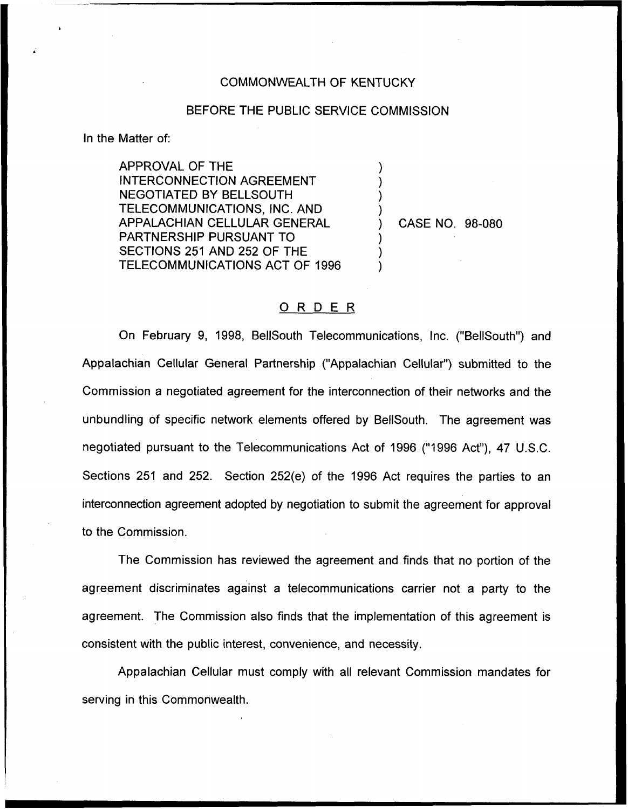## COMMONWEALTH OF KENTUCKY

## BEFORE THE PUBLIC SERVICE COMMISSION

) ) ) )

) ) )

In the Matter of:

APPROVAL OF THE INTERCONNECTION AGREEMENT **NEGOTIATED BY BELLSOUTH** TELECOMMUNICATIONS, INC. AND APPALACHIAN CELLULAR GENERAL PARTNERSHIP PURSUANT TO SECTIONS 251 AND 252 OF THE TELECOMMUNICATIONS ACT OF 1996

) CASE NO. 98-080

## 0 <sup>R</sup> <sup>D</sup> <sup>E</sup> <sup>R</sup>

On February 9, 1998, BellSouth Telecommunications, Inc. ("BellSouth") and Appalachian Cellular General Partnership ("Appalachian Cellular") submitted to the Commission a negotiated agreement for the interconnection of their networks and the unbundling of specific network elements offered by BellSouth. The agreement was negotiated pursuant to the Telecommunications Act of 1996 ("1996 Act"), 47 U.S.C. Sections 251 and 252. Section 252(e) of the 1996 Act requires the parties to an interconnection agreement adopted by negotiation to submit the agreement for approval to the Commission,

The Commission has reviewed the agreement and finds that no portion of the agreement discriminates against a telecommunications carrier not a party to the agreement. The Commission also finds that the implementation of this agreement is consistent with the public interest, convenience, and necessity.

Appalachian Cellular must comply with all relevant Commission mandates for serving in this Commonwealth.